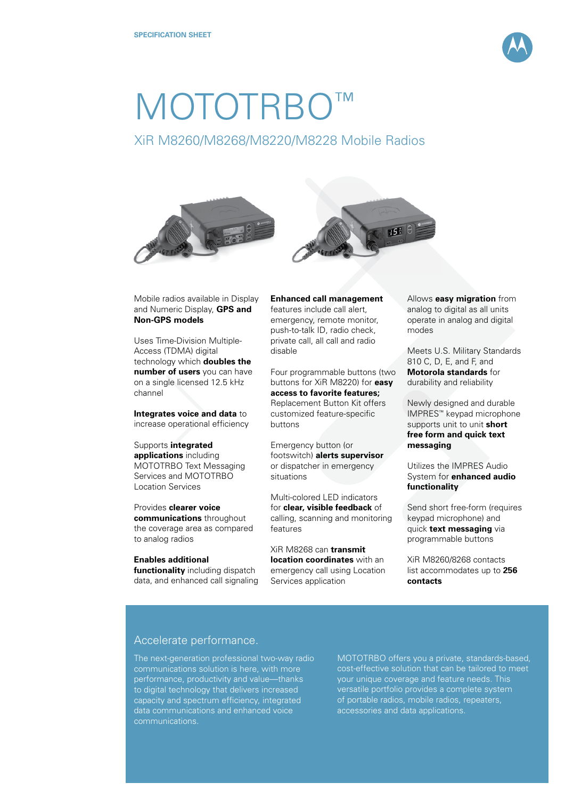

## MOTOTRBO™

## XiR M8260/M8268/M8220/M8228 Mobile Radios





Mobile radios available in Display and Numeric Display, **GPS and Non-GPS models**

Uses Time-Division Multiple-Access (TDMA) digital technology which **doubles the number of users** you can have on a single licensed 12.5 kHz channel

**Integrates voice and data** to increase operational efficiency

Supports **integrated applications** including MOTOTRBO Text Messaging Services and MOTOTRBO Location Services

Provides **clearer voice communications** throughout the coverage area as compared to analog radios

## **Enables additional**

**functionality** including dispatch data, and enhanced call signaling **Enhanced call management** features include call alert, emergency, remote monitor, push-to-talk ID, radio check, private call, all call and radio disable

Four programmable buttons (two buttons for XiR M8220) for **easy access to favorite features;** Replacement Button Kit offers customized feature-specific buttons

Emergency button (or footswitch) **alerts supervisor** or dispatcher in emergency situations

Multi-colored LED indicators for **clear, visible feedback** of calling, scanning and monitoring features

XiR M8268 can **transmit location coordinates** with an emergency call using Location Services application

Allows **easy migration** from analog to digital as all units operate in analog and digital modes

Meets U.S. Military Standards 810 C, D, E, and F, and **Motorola standards** for durability and reliability

Newly designed and durable IMPRES™ keypad microphone supports unit to unit **short free form and quick text messaging**

Utilizes the IMPRES Audio System for **enhanced audio functionality**

Send short free-form (requires keypad microphone) and quick **text messaging** via programmable buttons

XiR M8260/8268 contacts list accommodates up to **256 contacts**

## Accelerate performance.

The next-generation professional two-way radio performance, productivity and value—thanks to digital technology that delivers increased capacity and spectrum efficiency, integrated data communications and enhanced voice

MOTOTRBO offers you a private, standards-based, cost-effective solution that can be tailored to meet your unique coverage and feature needs. This versatile portfolio provides a complete system of portable radios, mobile radios, repeaters, accessories and data applications.